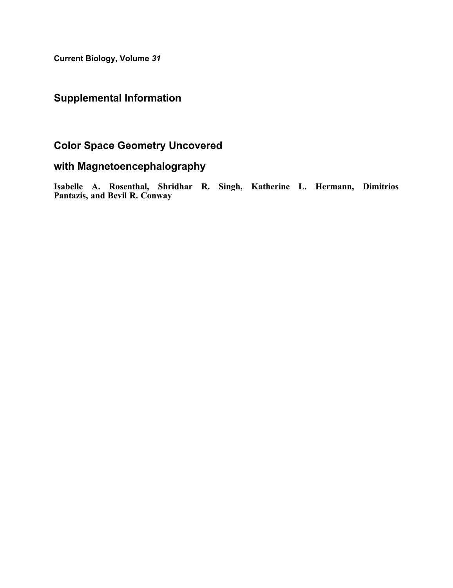Current Biology, Volume 31

## Supplemental Information

## Color Space Geometry Uncovered

## with Magnetoencephalography

Isabelle A. Rosenthal, Shridhar R. Singh, Katherine L. Hermann, Dimitrios Pantazis, and Bevil R. Conway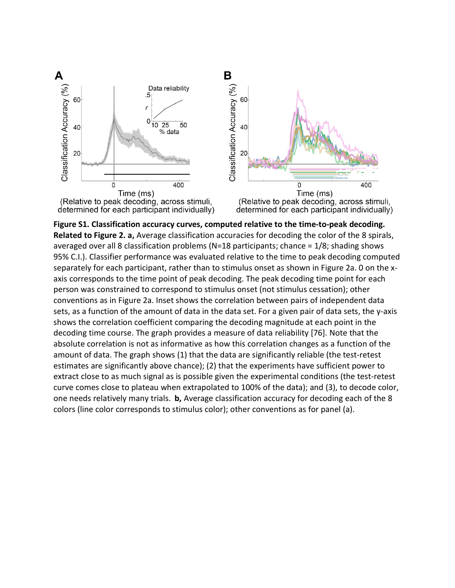

**Figure S1. Classification accuracy curves, computed relative to the time-to-peak decoding. Related to Figure 2. a,** Average classification accuracies for decoding the color of the 8 spirals, averaged over all 8 classification problems (N=18 participants; chance =  $1/8$ ; shading shows 95% C.I.). Classifier performance was evaluated relative to the time to peak decoding computed separately for each participant, rather than to stimulus onset as shown in Figure 2a. 0 on the xaxis corresponds to the time point of peak decoding. The peak decoding time point for each person was constrained to correspond to stimulus onset (not stimulus cessation); other conventions as in Figure 2a. Inset shows the correlation between pairs of independent data sets, as a function of the amount of data in the data set. For a given pair of data sets, the y-axis shows the correlation coefficient comparing the decoding magnitude at each point in the decoding time course. The graph provides a measure of data reliability [76]. Note that the absolute correlation is not as informative as how this correlation changes as a function of the amount of data. The graph shows (1) that the data are significantly reliable (the test-retest estimates are significantly above chance); (2) that the experiments have sufficient power to extract close to as much signal as is possible given the experimental conditions (the test-retest curve comes close to plateau when extrapolated to 100% of the data); and (3), to decode color, one needs relatively many trials. **b,** Average classification accuracy for decoding each of the 8 colors (line color corresponds to stimulus color); other conventions as for panel (a).